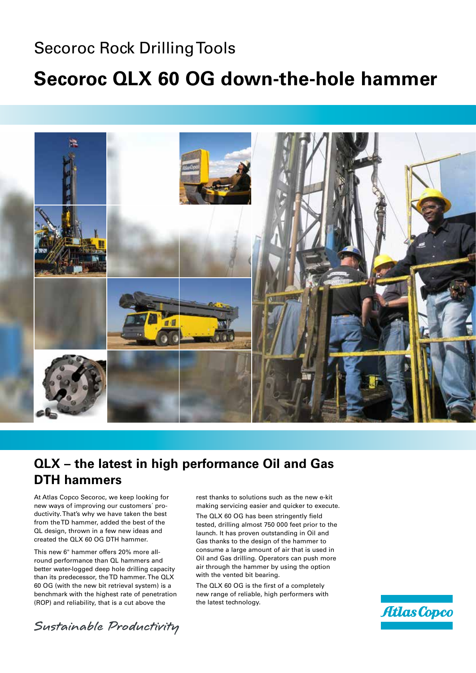### Secoroc Rock Drilling Tools

## **Secoroc QLX 60 OG down-the-hole hammer**



### **QLX – the latest in high performance Oil and Gas DTH hammers**

At Atlas Copco Secoroc, we keep looking for new ways of improving our customers´ productivity. That's why we have taken the best from the TD hammer, added the best of the QL design, thrown in a few new ideas and created the QLX 60 OG DTH hammer.

This new 6" hammer offers 20% more allround performance than QL hammers and better water-logged deep hole drilling capacity than its predecessor, the TD hammer. The QLX 60 OG (with the new bit retrieval system) is a benchmark with the highest rate of penetration (ROP) and reliability, that is a cut above the

rest thanks to solutions such as the new e-kit making servicing easier and quicker to execute. The QLX 60 OG has been stringently field tested, drilling almost 750 000 feet prior to the launch. It has proven outstanding in Oil and Gas thanks to the design of the hammer to consume a large amount of air that is used in Oil and Gas drilling. Operators can push more air through the hammer by using the option with the vented bit bearing.

The QLX 60 OG is the first of a completely new range of reliable, high performers with the latest technology.



Sustainable Productivity